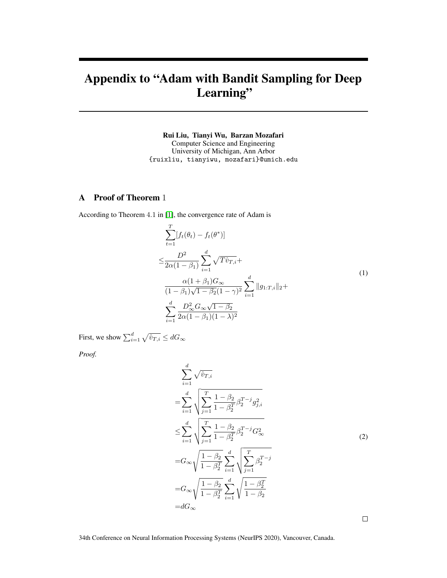# Appendix to "Adam with Bandit Sampling for Deep Learning"

Rui Liu, Tianyi Wu, Barzan Mozafari Computer Science and Engineering University of Michigan, Ann Arbor {ruixliu, tianyiwu, mozafari}@umich.edu

## A Proof of Theorem 1

According to Theorem 4.1 in [\[1\]](#page-9-0), the convergence rate of Adam is

$$
\sum_{t=1}^{T} [f_t(\theta_t) - f_t(\theta^*)]
$$
\n
$$
\leq \frac{D^2}{2\alpha(1-\beta_1)} \sum_{i=1}^{d} \sqrt{T \hat{v}_{T,i}} + \frac{\alpha(1+\beta_1)G_{\infty}}{(1-\beta_1)\sqrt{1-\beta_2}(1-\gamma)^2} \sum_{i=1}^{d} ||g_{1:T,i}||_2 + \sum_{i=1}^{d} \frac{D_{\infty}^2 G_{\infty} \sqrt{1-\beta_2}}{2\alpha(1-\beta_1)(1-\lambda)^2}
$$
\n(1)

First, we show  $\sum_{i=1}^d \sqrt{\hat{v}_{T,i}} \leq dG_{\infty}$ 

*Proof.*

$$
\sum_{i=1}^{d} \sqrt{\hat{v}_{T,i}} \n= \sum_{i=1}^{d} \sqrt{\sum_{j=1}^{T} \frac{1 - \beta_2}{1 - \beta_2^T} \beta_2^{T-j} g_{j,i}^2} \n\leq \sum_{i=1}^{d} \sqrt{\sum_{j=1}^{T} \frac{1 - \beta_2}{1 - \beta_2^T} \beta_2^{T-j} G_{\infty}^2} \n= G_{\infty} \sqrt{\frac{1 - \beta_2}{1 - \beta_2^T}} \sum_{i=1}^{d} \sqrt{\sum_{j=1}^{T} \beta_2^{T-j}} \n= G_{\infty} \sqrt{\frac{1 - \beta_2}{1 - \beta_2^T}} \sum_{i=1}^{d} \sqrt{\frac{1 - \beta_2^T}{1 - \beta_2}} \n= dG_{\infty}
$$
\n(2)

 $\Box$ 

34th Conference on Neural Information Processing Systems (NeurIPS 2020), Vancouver, Canada.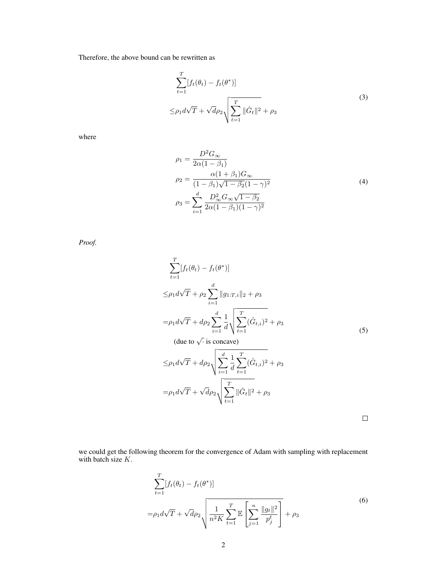Therefore, the above bound can be rewritten as

$$
\sum_{t=1}^{T} [f_t(\theta_t) - f_t(\theta^*)]
$$
  
\n
$$
\leq \rho_1 d\sqrt{T} + \sqrt{d} \rho_2 \sqrt{\sum_{t=1}^{T} ||\hat{G}_t||^2 + \rho_3}
$$
\n(3)

where

$$
\rho_1 = \frac{D^2 G_{\infty}}{2\alpha (1 - \beta_1)} \n\rho_2 = \frac{\alpha (1 + \beta_1) G_{\infty}}{(1 - \beta_1)\sqrt{1 - \beta_2}(1 - \gamma)^2} \n\rho_3 = \sum_{i=1}^d \frac{D_{\infty}^2 G_{\infty} \sqrt{1 - \beta_2}}{2\alpha (1 - \beta_1)(1 - \gamma)^2}
$$
\n(4)

*Proof.*

$$
\sum_{t=1}^{T} [f_t(\theta_t) - f_t(\theta^*)]
$$
  
\n
$$
\leq \rho_1 d\sqrt{T} + \rho_2 \sum_{i=1}^{d} ||g_{1:T,i}||_2 + \rho_3
$$
  
\n
$$
= \rho_1 d\sqrt{T} + d\rho_2 \sum_{i=1}^{d} \frac{1}{d} \sqrt{\sum_{t=1}^{T} (\hat{G}_{t,i})^2 + \rho_3}
$$
  
\n(due to  $\sqrt{\cdot}$  is concave)  
\n
$$
\leq \rho_1 d\sqrt{T} + d\rho_2 \sqrt{\sum_{i=1}^{d} \frac{1}{d} \sum_{t=1}^{T} (\hat{G}_{t,i})^2 + \rho_3}
$$
  
\n
$$
= \rho_1 d\sqrt{T} + \sqrt{d} \rho_2 \sqrt{\sum_{t=1}^{T} ||\hat{G}_t||^2 + \rho_3}
$$

we could get the following theorem for the convergence of Adam with sampling with replacement with batch size  $K$ .

$$
\sum_{t=1}^{T} [f_t(\theta_t) - f_t(\theta^*)]
$$
\n
$$
= \rho_1 d\sqrt{T} + \sqrt{d}\rho_2 \sqrt{\frac{1}{n^2 K} \sum_{t=1}^{T} \mathbb{E}\left[\sum_{j=1}^{n} \frac{\|g_t\|^2}{p_j^t}\right]} + \rho_3
$$
\n(6)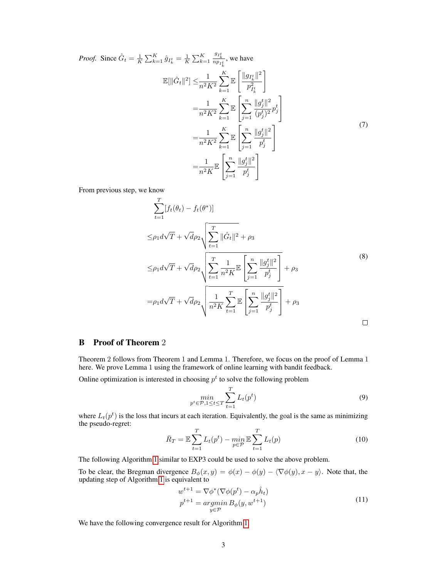*Proof.* Since 
$$
\hat{G}_t = \frac{1}{K} \sum_{k=1}^K \hat{g}_{I_k^t} = \frac{1}{K} \sum_{k=1}^K \frac{g_{I_k^t}}{n p_{I_k^t}},
$$
 we have  
\n
$$
\mathbb{E}[\|\hat{G}_t\|^2] \leq \frac{1}{n^2 K^2} \sum_{k=1}^K \mathbb{E} \left[ \frac{\|g_{I_k^t}\|^2}{p_{I_k^t}^2} \right]
$$
\n
$$
= \frac{1}{n^2 K^2} \sum_{k=1}^K \mathbb{E} \left[ \sum_{j=1}^n \frac{\|g_j^t\|^2}{(p_j^t)^2} p_j^t \right]
$$
\n
$$
= \frac{1}{n^2 K^2} \sum_{k=1}^K \mathbb{E} \left[ \sum_{j=1}^n \frac{\|g_j^t\|^2}{p_j^t} \right]
$$
\n
$$
= \frac{1}{n^2 K} \mathbb{E} \left[ \sum_{j=1}^n \frac{\|g_j^t\|^2}{p_j^t} \right]
$$
\n(7)

From previous step, we know

$$
\sum_{t=1}^{T} [f_t(\theta_t) - f_t(\theta^*)]
$$
\n
$$
\leq \rho_1 d\sqrt{T} + \sqrt{d} \rho_2 \sqrt{\sum_{t=1}^{T} ||\hat{G}_t||^2 + \rho_3}
$$
\n
$$
\leq \rho_1 d\sqrt{T} + \sqrt{d} \rho_2 \sqrt{\sum_{t=1}^{T} \frac{1}{n^2 K} \mathbb{E} \left[ \sum_{j=1}^{n} \frac{||g_j^t||^2}{p_j^t} \right]} + \rho_3
$$
\n
$$
= \rho_1 d\sqrt{T} + \sqrt{d} \rho_2 \sqrt{\frac{1}{n^2 K} \sum_{t=1}^{T} \mathbb{E} \left[ \sum_{j=1}^{n} \frac{||g_j^t||^2}{p_j^t} \right]} + \rho_3
$$
\n
$$
(8)
$$

# B Proof of Theorem 2

Theorem 2 follows from Theorem 1 and Lemma 1. Therefore, we focus on the proof of Lemma 1 here. We prove Lemma 1 using the framework of online learning with bandit feedback.

Online optimization is interested in choosing  $p<sup>t</sup>$  to solve the following problem

$$
\min_{p^t \in \mathcal{P}, 1 \le t \le T} \sum_{t=1}^T L_t(p^t) \tag{9}
$$

where  $L_t(p^t)$  is the loss that incurs at each iteration. Equivalently, the goal is the same as minimizing the pseudo-regret:

$$
\bar{R}_T = \mathbb{E} \sum_{t=1}^T L_t(p^t) - \min_{p \in \mathcal{P}} \mathbb{E} \sum_{t=1}^T L_t(p)
$$
 (10)

The following Algorithm [1](#page-3-0) similar to EXP3 could be used to solve the above problem.

To be clear, the Bregman divergence  $B_{\phi}(x, y) = \phi(x) - \phi(y) - \langle \nabla \phi(y), x - y \rangle$ . Note that, the updating step of Algorithm [1](#page-3-0) is equivalent to

<span id="page-2-0"></span>
$$
w^{t+1} = \nabla \phi^*(\nabla \phi(p^t) - \alpha_p \hat{h}_t)
$$
  
\n
$$
p^{t+1} = \underset{y \in \mathcal{P}}{\operatorname{argmin}} B_{\phi}(y, w^{t+1})
$$
\n(11)

We have the following convergence result for Algorithm [1.](#page-3-0)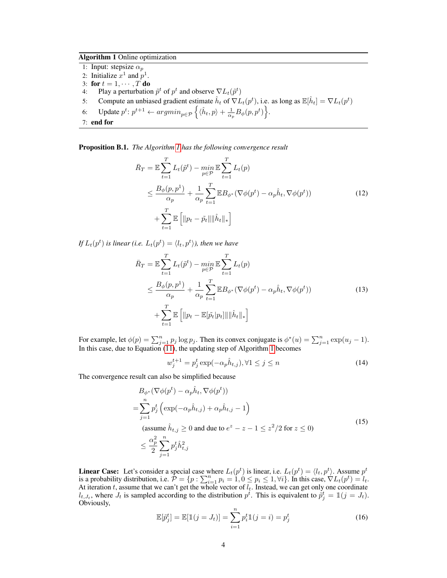Algorithm 1 Online optimization

- <span id="page-3-0"></span>1: Input: stepsize  $\alpha_p$
- 2: Initialize  $x^1$  and  $p^1$ .
- 3: for  $t = 1, \cdots, T$  do
- 4: Play a perturbation  $\tilde{p}^t$  of  $p^t$  and observe  $\nabla L_t(\tilde{p}^t)$
- 5: Compute an unbiased gradient estimate  $\hat{h}_t$  of  $\nabla L_t(p^t)$ , i.e. as long as  $\mathbb{E}[\hat{h}_t] = \nabla L_t(p^t)$
- 6: Update  $p^t: p^{t+1} \leftarrow argmin_{p \in \mathcal{P}} \left\{ \langle \hat{h}_t, p \rangle + \frac{1}{\alpha_p} B_{\phi}(p, p^t) \right\}.$
- 7: end for

Proposition B.1. *The Algorithm [1](#page-3-0) has the following convergence result*

$$
\bar{R}_T = \mathbb{E} \sum_{t=1}^T L_t(\tilde{p}^t) - \min_{p \in \mathcal{P}} \mathbb{E} \sum_{t=1}^T L_t(p)
$$
\n
$$
\leq \frac{B_\phi(p, p^1)}{\alpha_p} + \frac{1}{\alpha_p} \sum_{t=1}^T \mathbb{E} B_{\phi^*} (\nabla \phi(p^t) - \alpha_p \hat{h}_t, \nabla \phi(p^t))
$$
\n
$$
+ \sum_{t=1}^T \mathbb{E} \left[ \| p_t - \tilde{p}_t \| \| \hat{h}_t \|_* \right] \tag{12}
$$

*If*  $L_t(p^t)$  is linear (i.e.  $L_t(p^t) = \langle l_t, p^t \rangle$ ), then we have

$$
\bar{R}_T = \mathbb{E} \sum_{t=1}^T L_t(\tilde{p}^t) - \min_{p \in \mathcal{P}} \mathbb{E} \sum_{t=1}^T L_t(p)
$$
\n
$$
\leq \frac{B_\phi(p, p^1)}{\alpha_p} + \frac{1}{\alpha_p} \sum_{t=1}^T \mathbb{E} B_{\phi^*} (\nabla \phi(p^t) - \alpha_p \hat{h}_t, \nabla \phi(p^t))
$$
\n
$$
+ \sum_{t=1}^T \mathbb{E} \left[ \| p_t - \mathbb{E}[\tilde{p}_t | p_t] \| \| \hat{h}_t \|_* \right] \tag{13}
$$

For example, let  $\phi(p) = \sum_{j=1}^n p_j \log p_j$ . Then its convex conjugate is  $\phi^*(u) = \sum_{j=1}^n \exp(u_j - 1)$ . In this case, due to Equation [\(11\)](#page-2-0), the updating step of Algorithm [1](#page-3-0) becomes

$$
w_j^{t+1} = p_j^t \exp(-\alpha_p \hat{h}_{t,j}), \forall 1 \le j \le n
$$
\n<sup>(14)</sup>

The convergence result can also be simplified because

$$
B_{\phi^*}(\nabla\phi(p^t) - \alpha_p \hat{h}_t, \nabla\phi(p^t))
$$
  
= 
$$
\sum_{j=1}^n p_j^t \left( \exp(-\alpha_p \hat{h}_{t,j}) + \alpha_p \hat{h}_{t,j} - 1 \right)
$$
  
(assume  $\hat{h}_{t,j} \ge 0$  and due to  $e^z - z - 1 \le z^2/2$  for  $z \le 0$ )  

$$
\le \frac{\alpha_p^2}{2} \sum_{j=1}^n p_j^t \hat{h}_{t,j}^2
$$
 (15)

**Linear Case:** Let's consider a special case where  $L_t(p^t)$  is linear, i.e.  $L_t(p^t) = \langle l_t, p^t \rangle$ . Assume  $p^t$ is a probability distribution, i.e.  $\mathcal{P} = \{p : \sum_{i=1}^{n} p_i = 1, 0 \leq p_i \leq 1, \forall i\}$ . In this case,  $\nabla L_t(p^t) = l_t$ . At iteration t, assume that we can't get the whole vector of  $l_t$ . Instead, we can get only one coordinate  $l_{t, J_t}$ , where  $J_t$  is sampled according to the distribution  $p^t$ . This is equivalent to  $\tilde{p}^t_j = \mathbb{1}(j = J_t)$ . Obviously,

$$
\mathbb{E}[\tilde{p}_j^t] = \mathbb{E}[\mathbb{1}(j = J_t)] = \sum_{i=1}^n p_i^t \mathbb{1}(j = i) = p_j^t
$$
 (16)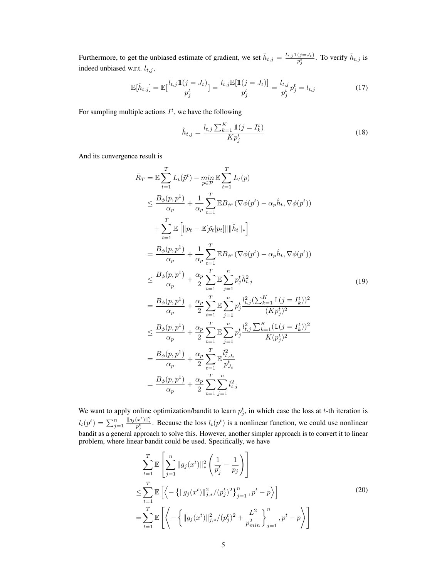Furthermore, to get the unbiased estimate of gradient, we set  $\hat{h}_{t,j} = \frac{l_{t,j} 1 (j = J_t)}{n^t}$  $\frac{(j=J_t)}{p_j^t}$ . To verify  $\hat{h}_{t,j}$  is indeed unbiased w.r.t.  $l_{t,j}$ ,

$$
\mathbb{E}[\hat{h}_{t,j}] = \mathbb{E}[\frac{l_{t,j}\mathbb{1}(j=J_t)}{p_j^t}] = \frac{l_{t,j}\mathbb{E}[\mathbb{1}(j=J_t)]}{p_j^t} = \frac{l_{t,j}}{p_j^t}p_j^t = l_{t,j}
$$
(17)

For sampling multiple actions  $I^t$ , we have the following

$$
\hat{h}_{t,j} = \frac{l_{t,j} \sum_{k=1}^{K} \mathbb{1}(j = I_k^t)}{K p_j^t}
$$
\n(18)

And its convergence result is

$$
\bar{R}_{T} = \mathbb{E} \sum_{t=1}^{T} L_{t}(\tilde{p}^{t}) - \min_{p \in \mathcal{P}} \mathbb{E} \sum_{t=1}^{T} L_{t}(p) \n\leq \frac{B_{\phi}(p, p^{1})}{\alpha_{p}} + \frac{1}{\alpha_{p}} \sum_{t=1}^{T} \mathbb{E} B_{\phi^{*}} (\nabla \phi(p^{t}) - \alpha_{p} \hat{h}_{t}, \nabla \phi(p^{t})) \n+ \sum_{t=1}^{T} \mathbb{E} \left[ ||p_{t} - \mathbb{E}[\tilde{p}_{t}|p_{t}]|| \|\hat{h}_{t}||_{*} \right] \n= \frac{B_{\phi}(p, p^{1})}{\alpha_{p}} + \frac{1}{\alpha_{p}} \sum_{t=1}^{T} \mathbb{E} B_{\phi^{*}} (\nabla \phi(p^{t}) - \alpha_{p} \hat{h}_{t}, \nabla \phi(p^{t})) \n\leq \frac{B_{\phi}(p, p^{1})}{\alpha_{p}} + \frac{\alpha_{p}}{2} \sum_{t=1}^{T} \mathbb{E} \sum_{j=1}^{T} p_{j}^{t} \hat{h}_{t,j}^{2} \n= \frac{B_{\phi}(p, p^{1})}{\alpha_{p}} + \frac{\alpha_{p}}{2} \sum_{t=1}^{T} \mathbb{E} \sum_{j=1}^{n} p_{j}^{t} \frac{l_{t,j}^{2} (\sum_{k=1}^{K} \mathbb{1}(j = I_{k}^{t}))^{2}}{(\kappa p_{j}^{t})^{2}} \n\leq \frac{B_{\phi}(p, p^{1})}{\alpha_{p}} + \frac{\alpha_{p}}{2} \sum_{t=1}^{T} \mathbb{E} \sum_{j=1}^{n} p_{j}^{t} \frac{l_{t,j}^{2} \sum_{k=1}^{K} (\mathbb{1}(j = I_{k}^{t}))^{2}}{K(p_{j}^{t})^{2}} \n= \frac{B_{\phi}(p, p^{1})}{\alpha_{p}} + \frac{\alpha_{p}}{2} \sum_{t=1}^{T} \mathbb{E} \sum_{p_{j}^{t}}^{l} l_{t,j}^{2} \n= \frac{B_{\phi}(p, p^{1})}{\alpha_{p}} + \frac{\alpha_{p}}{2} \sum_{t=
$$

We want to apply online optimization/bandit to learn  $p_j^t$ , in which case the loss at t-th iteration is  $l_t(p^t) = \sum_{j=1}^n \frac{||g_j(x^t)||_*^2}{p_j^t}$ . Because the loss  $l_t(p^t)$  is a nonlinear function, we could use nonlinear bandit as a general approach to solve this. However, another simpler approach is to convert it to linear problem, where linear bandit could be used. Specifically, we have

$$
\sum_{t=1}^{T} \mathbb{E}\left[\sum_{j=1}^{n} \|g_j(x^t)\|_{*}^{2} \left(\frac{1}{p_j^t} - \frac{1}{p_j}\right)\right]
$$
\n
$$
\leq \sum_{t=1}^{T} \mathbb{E}\left[\left\langle -\left\{\|g_j(x^t)\|_{j,*}^{2}/(p_j^t)^2\right\}_{j=1}^{n}, p^t - p\right\rangle\right]
$$
\n
$$
= \sum_{t=1}^{T} \mathbb{E}\left[\left\langle -\left\{\|g_j(x^t)\|_{j,*}^{2}/(p_j^t)^2 + \frac{L^2}{p_{min}^2}\right\}_{j=1}^{n}, p^t - p\right\rangle\right]
$$
\n(20)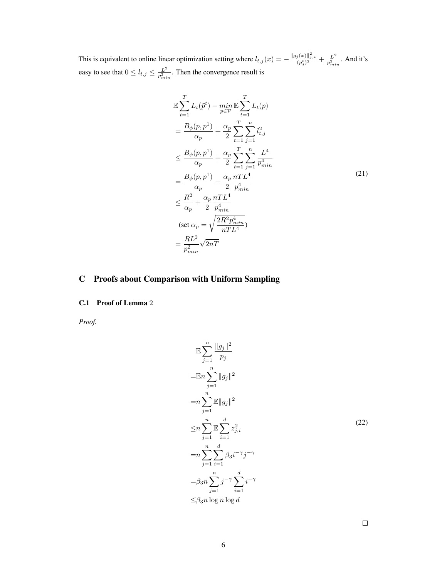This is equivalent to online linear optimization setting where  $l_{t,j}(x) = -\frac{\|g_j(x)\|_{j,*}^2}{(p_j^t)^2} + \frac{L^2}{p_{mi}^2}$  $\frac{L^2}{p_{min}^2}$ . And it's easy to see that  $0 \leq l_{t,j} \leq \frac{L^2}{n^2}$  $\frac{L^2}{p_{min}^2}$ . Then the convergence result is

$$
\mathbb{E}\sum_{t=1}^{T} L_{t}(\tilde{p}^{t}) - \min_{p\in\mathcal{P}} \mathbb{E}\sum_{t=1}^{T} L_{t}(p) \n= \frac{B_{\phi}(p, p^{1})}{\alpha_{p}} + \frac{\alpha_{p}}{2} \sum_{t=1}^{T} \sum_{j=1}^{n} l_{t,j}^{2} \n\leq \frac{B_{\phi}(p, p^{1})}{\alpha_{p}} + \frac{\alpha_{p}}{2} \sum_{t=1}^{T} \sum_{j=1}^{n} \frac{L^{4}}{p_{min}^{4}} \n= \frac{B_{\phi}(p, p^{1})}{\alpha_{p}} + \frac{\alpha_{p}}{2} \frac{nTL^{4}}{p_{min}^{4}} \n\leq \frac{R^{2}}{\alpha_{p}} + \frac{\alpha_{p}}{2} \frac{nTL^{4}}{p_{min}^{4}} \n(\text{set } \alpha_{p} = \sqrt{\frac{2R^{2}p_{min}^{4}}{nTL^{4}}}) \n= \frac{RL^{2}}{p_{min}^{2}} \sqrt{2nT}
$$
\n(21)

# C Proofs about Comparison with Uniform Sampling

## C.1 Proof of Lemma 2

*Proof.*

$$
\mathbb{E} \sum_{j=1}^{n} \frac{\|g_j\|^2}{p_j}
$$
\n
$$
= \mathbb{E} n \sum_{j=1}^{n} \|g_j\|^2
$$
\n
$$
= n \sum_{j=1}^{n} \mathbb{E} \|g_j\|^2
$$
\n
$$
\leq n \sum_{j=1}^{n} \mathbb{E} \sum_{i=1}^{d} z_{j,i}^2
$$
\n
$$
= n \sum_{j=1}^{n} \sum_{i=1}^{d} \beta_3 i^{-\gamma} j^{-\gamma}
$$
\n
$$
= \beta_3 n \sum_{j=1}^{n} j^{-\gamma} \sum_{i=1}^{d} i^{-\gamma}
$$
\n
$$
\leq \beta_3 n \log n \log d
$$
\n(22)

 $\Box$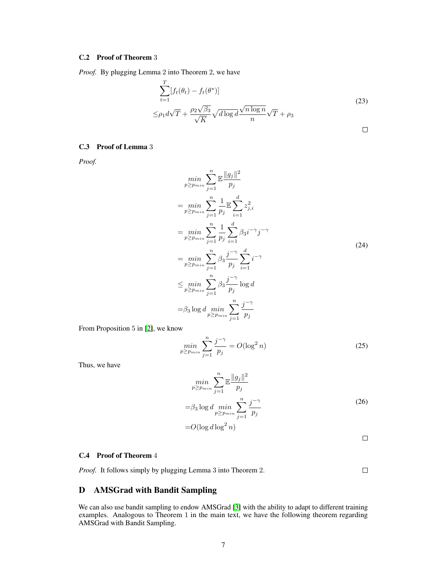#### C.2 Proof of Theorem 3

*Proof.* By plugging Lemma 2 into Theorem 2, we have

$$
\sum_{t=1}^{T} [f_t(\theta_t) - f_t(\theta^*)]
$$
\n
$$
\leq \rho_1 d\sqrt{T} + \frac{\rho_2 \sqrt{\beta_3}}{\sqrt{K}} \sqrt{d \log d} \frac{\sqrt{n \log n}}{n} \sqrt{T} + \rho_3
$$
\n
$$
\Box
$$

#### C.3 Proof of Lemma 3

*Proof.*

$$
\min_{p \ge p_{min}} \sum_{j=1}^{n} \mathbb{E} \frac{\|g_j\|^2}{p_j}
$$
\n
$$
= \min_{p \ge p_{min}} \sum_{j=1}^{n} \frac{1}{p_j} \mathbb{E} \sum_{i=1}^{d} z_{j,i}^2
$$
\n
$$
= \min_{p \ge p_{min}} \sum_{j=1}^{n} \frac{1}{p_j} \sum_{i=1}^{d} \beta_3 i^{-\gamma} j^{-\gamma}
$$
\n
$$
= \min_{p \ge p_{min}} \sum_{j=1}^{n} \beta_3 \frac{j^{-\gamma}}{p_j} \sum_{i=1}^{d} i^{-\gamma}
$$
\n
$$
\le \min_{p \ge p_{min}} \sum_{j=1}^{n} \beta_3 \frac{j^{-\gamma}}{p_j} \log d
$$
\n
$$
= \beta_3 \log d \min_{p \ge p_{min}} \sum_{j=1}^{n} \frac{j^{-\gamma}}{p_j}
$$
\n(24)

From Proposition 5 in [\[2\]](#page-9-1), we know

$$
\min_{p \ge p_{min}} \sum_{j=1}^{n} \frac{j^{-\gamma}}{p_j} = O(\log^2 n) \tag{25}
$$

Thus, we have

$$
\min_{p \ge p_{min}} \sum_{j=1}^{n} \mathbb{E} \frac{\|g_j\|^2}{p_j}
$$
  
= $\beta_3 \log d \min_{p \ge p_{min}} \sum_{j=1}^{n} \frac{j^{-\gamma}}{p_j}$   
= $O(\log d \log^2 n)$  (26)

 $\Box$ 

#### C.4 Proof of Theorem 4

*Proof.* It follows simply by plugging Lemma 3 into Theorem 2.

 $\Box$ 

# D AMSGrad with Bandit Sampling

We can also use bandit sampling to endow AMSGrad [\[3\]](#page-9-2) with the ability to adapt to different training examples. Analogous to Theorem 1 in the main text, we have the following theorem regarding AMSGrad with Bandit Sampling.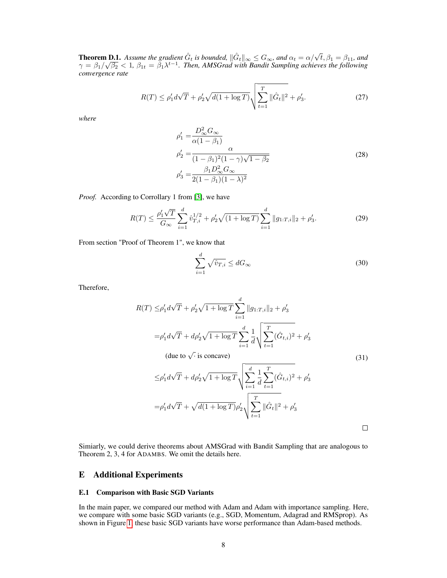**Theorem D.1.** Assume the gradient  $\hat{G}_t$  is bounded,  $\|\hat{G}_t\|_{\infty} \leq G_{\infty}$ , and  $\alpha_t = \alpha/\sqrt{t}$ ,  $\beta_1 = \beta_{11}$ , and **Theorem D.1.** Assume the gradient  $G_t$  is bounded,  $||G_t||_{\infty} \leq G_{\infty}$ , and  $\alpha_t = \alpha/\sqrt{t}$ ,  $\beta_1 = \beta_{11}$ , and  $\gamma = \beta_1/\sqrt{\beta_2} < 1$ ,  $\beta_{1t} = \beta_1 \lambda^{t-1}$ . Then, AMSGrad with Bandit Sampling achieves the following *convergence rate*

$$
R(T) \le \rho_1' d\sqrt{T} + \rho_2' \sqrt{d(1 + \log T)} \sqrt{\sum_{t=1}^T ||\hat{G}_t||^2} + \rho_3'.
$$
 (27)

*where*

$$
\rho_1' = \frac{D_{\infty}^2 G_{\infty}}{\alpha (1 - \beta_1)} \n\rho_2' = \frac{\alpha}{(1 - \beta_1)^2 (1 - \gamma) \sqrt{1 - \beta_2}} \n\rho_3' = \frac{\beta_1 D_{\infty}^2 G_{\infty}}{2 (1 - \beta_1)(1 - \lambda)^2}
$$
\n(28)

*Proof.* According to Corrollary 1 from [\[3\]](#page-9-2), we have

$$
R(T) \le \frac{\rho_1' \sqrt{T}}{G_{\infty}} \sum_{i=1}^d \hat{v}_{T,i}^{1/2} + \rho_2' \sqrt{(1 + \log T)} \sum_{i=1}^d \|g_{1:T,i}\|_2 + \rho_3'.
$$
 (29)

From section "Proof of Theorem 1", we know that

$$
\sum_{i=1}^{d} \sqrt{\hat{v}_{T,i}} \le dG_{\infty} \tag{30}
$$

Therefore,

$$
R(T) \leq \rho_1' d\sqrt{T} + \rho_2' \sqrt{1 + \log T} \sum_{i=1}^d ||g_{1:T,i}||_2 + \rho_3'
$$
  
\n
$$
= \rho_1' d\sqrt{T} + d\rho_2' \sqrt{1 + \log T} \sum_{i=1}^d \frac{1}{d} \sqrt{\sum_{t=1}^T (\hat{G}_{t,i})^2 + \rho_3'}
$$
  
\n(due to  $\sqrt{\cdot}$  is concave)  
\n
$$
\leq \rho_1' d\sqrt{T} + d\rho_2' \sqrt{1 + \log T} \sqrt{\sum_{i=1}^d \frac{1}{d} \sum_{t=1}^T (\hat{G}_{t,i})^2 + \rho_3'}
$$
  
\n
$$
= \rho_1' d\sqrt{T} + \sqrt{d(1 + \log T)} \rho_2' \sqrt{\sum_{t=1}^T ||\hat{G}_t||^2 + \rho_3'}
$$

Simiarly, we could derive theorems about AMSGrad with Bandit Sampling that are analogous to Theorem 2, 3, 4 for ADAMBS. We omit the details here.

## E Additional Experiments

#### E.1 Comparison with Basic SGD Variants

In the main paper, we compared our method with Adam and Adam with importance sampling. Here, we compare with some basic SGD variants (e.g., SGD, Momentum, Adagrad and RMSprop). As shown in Figure [1,](#page-8-0) these basic SGD variants have worse performance than Adam-based methods.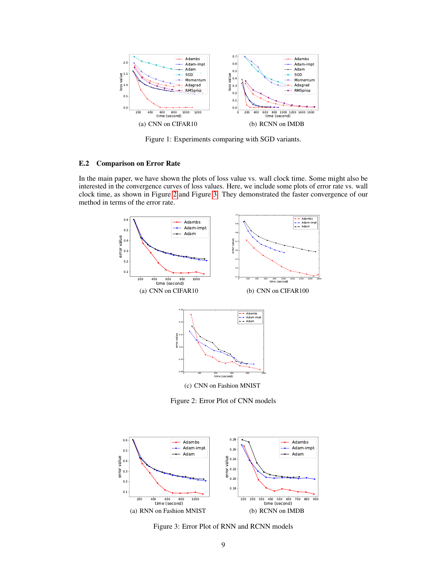

<span id="page-8-0"></span>Figure 1: Experiments comparing with SGD variants.

#### E.2 Comparison on Error Rate

In the main paper, we have shown the plots of loss value vs. wall clock time. Some might also be interested in the convergence curves of loss values. Here, we include some plots of error rate vs. wall clock time, as shown in Figure [2](#page-8-1) and Figure [3.](#page-8-2) They demonstrated the faster convergence of our method in terms of the error rate.



<span id="page-8-1"></span>Figure 2: Error Plot of CNN models



<span id="page-8-2"></span>Figure 3: Error Plot of RNN and RCNN models